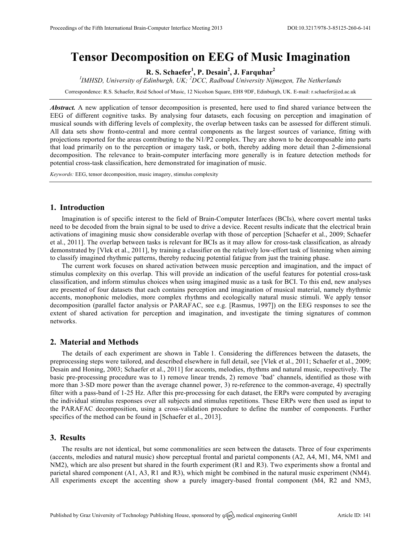# **Tensor Decomposition on EEG of Music Imagination**

**R. S. Schaefer<sup>1</sup> , P. Desain<sup>2</sup> , J. Farquhar<sup>2</sup>**

*I IMHSD, University of Edinburgh, UK; <sup>2</sup> DCC, Radboud University Nijmegen, The Netherlands*

Correspondence: R.S. Schaefer, Reid School of Music, 12 Nicolson Square, EH8 9DF, Edinburgh, UK. E-mail: r.schaefer@ed.ac.uk

*Abstract.* A new application of tensor decomposition is presented, here used to find shared variance between the EEG of different cognitive tasks. By analysing four datasets, each focusing on perception and imagination of musical sounds with differing levels of complexity, the overlap between tasks can be assessed for different stimuli. All data sets show fronto-central and more central components as the largest sources of variance, fitting with projections reported for the areas contributing to the N1/P2 complex. They are shown to be decomposable into parts that load primarily on to the perception or imagery task, or both, thereby adding more detail than 2-dimensional decomposition. The relevance to brain-computer interfacing more generally is in feature detection methods for potential cross-task classification, here demonstrated for imagination of music.

*Keywords:* EEG, tensor decomposition, music imagery, stimulus complexity

# **1. Introduction**

Imagination is of specific interest to the field of Brain-Computer Interfaces (BCIs), where covert mental tasks need to be decoded from the brain signal to be used to drive a device. Recent results indicate that the electrical brain activations of imagining music show considerable overlap with those of perception [Schaefer et al., 2009; Schaefer et al., 2011]. The overlap between tasks is relevant for BCIs as it may allow for cross-task classification, as already demonstrated by [Vlek et al., 2011], by training a classifier on the relatively low-effort task of listening when aiming to classify imagined rhythmic patterns, thereby reducing potential fatigue from just the training phase.

The current work focuses on shared activation between music perception and imagination, and the impact of stimulus complexity on this overlap. This will provide an indication of the useful features for potential cross-task classification, and inform stimulus choices when using imagined music as a task for BCI. To this end, new analyses are presented of four datasets that each contains perception and imagination of musical material, namely rhythmic accents, monophonic melodies, more complex rhythms and ecologically natural music stimuli. We apply tensor decomposition (parallel factor analysis or PARAFAC, see e.g. [Rasmus, 1997]) on the EEG responses to see the extent of shared activation for perception and imagination, and investigate the timing signatures of common networks.

## **2. Material and Methods**

The details of each experiment are shown in Table 1. Considering the differences between the datasets, the preprocessing steps were tailored, and described elsewhere in full detail, see [Vlek et al., 2011; Schaefer et al., 2009; Desain and Honing, 2003; Schaefer et al., 2011] for accents, melodies, rhythms and natural music, respectively. The basic pre-processing procedure was to 1) remove linear trends, 2) remove 'bad' channels, identified as those with more than 3-SD more power than the average channel power, 3) re-reference to the common-average, 4) spectrally filter with a pass-band of 1-25 Hz. After this pre-processing for each dataset, the ERPs were computed by averaging the individual stimulus responses over all subjects and stimulus repetitions. These ERPs were then used as input to the PARAFAC decomposition, using a cross-validation procedure to define the number of components. Further specifics of the method can be found in [Schaefer et al., 2013].

# **3. Results**

The results are not identical, but some commonalities are seen between the datasets. Three of four experiments (accents, melodies and natural music) show perceptual frontal and parietal components (A2, A4, M1, M4, NM1 and NM2), which are also present but shared in the fourth experiment (R1 and R3). Two experiments show a frontal and parietal shared component (A1, A3, R1 and R3), which might be combined in the natural music experiment (NM4). All experiments except the accenting show a purely imagery-based frontal component (M4, R2 and NM3,